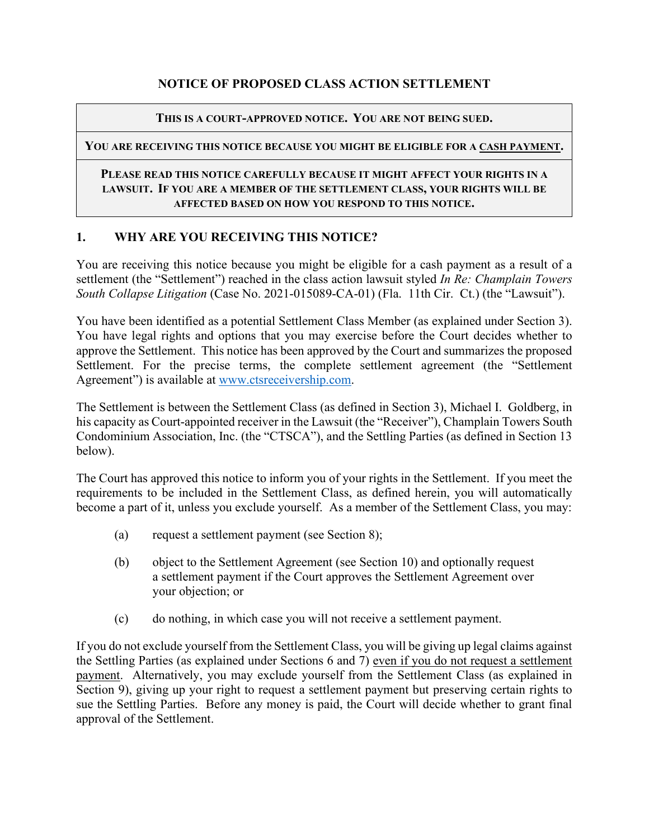### **NOTICE OF PROPOSED CLASS ACTION SETTLEMENT**

#### **THIS IS A COURT-APPROVED NOTICE. YOU ARE NOT BEING SUED.**

#### **YOU ARE RECEIVING THIS NOTICE BECAUSE YOU MIGHT BE ELIGIBLE FOR A CASH PAYMENT.**

#### **PLEASE READ THIS NOTICE CAREFULLY BECAUSE IT MIGHT AFFECT YOUR RIGHTS IN A LAWSUIT. IF YOU ARE A MEMBER OF THE SETTLEMENT CLASS, YOUR RIGHTS WILL BE AFFECTED BASED ON HOW YOU RESPOND TO THIS NOTICE.**

### **1. WHY ARE YOU RECEIVING THIS NOTICE?**

You are receiving this notice because you might be eligible for a cash payment as a result of a settlement (the "Settlement") reached in the class action lawsuit styled *In Re: Champlain Towers South Collapse Litigation* (Case No. 2021-015089-CA-01) (Fla. 11th Cir. Ct.) (the "Lawsuit").

You have been identified as a potential Settlement Class Member (as explained under Section 3). You have legal rights and options that you may exercise before the Court decides whether to approve the Settlement. This notice has been approved by the Court and summarizes the proposed Settlement. For the precise terms, the complete settlement agreement (the "Settlement Agreement") is available at [www.ctsreceivership.com.](http://www.ctsreceivership.com/)

The Settlement is between the Settlement Class (as defined in Section 3), Michael I. Goldberg, in his capacity as Court-appointed receiver in the Lawsuit (the "Receiver"), Champlain Towers South Condominium Association, Inc. (the "CTSCA"), and the Settling Parties (as defined in Section 13 below).

The Court has approved this notice to inform you of your rights in the Settlement. If you meet the requirements to be included in the Settlement Class, as defined herein, you will automatically become a part of it, unless you exclude yourself. As a member of the Settlement Class, you may:

- (a) request a settlement payment (see Section 8);
- (b) object to the Settlement Agreement (see Section 10) and optionally request a settlement payment if the Court approves the Settlement Agreement over your objection; or
- (c) do nothing, in which case you will not receive a settlement payment.

If you do not exclude yourself from the Settlement Class, you will be giving up legal claims against the Settling Parties (as explained under Sections 6 and 7) even if you do not request a settlement payment. Alternatively, you may exclude yourself from the Settlement Class (as explained in Section 9), giving up your right to request a settlement payment but preserving certain rights to sue the Settling Parties. Before any money is paid, the Court will decide whether to grant final approval of the Settlement.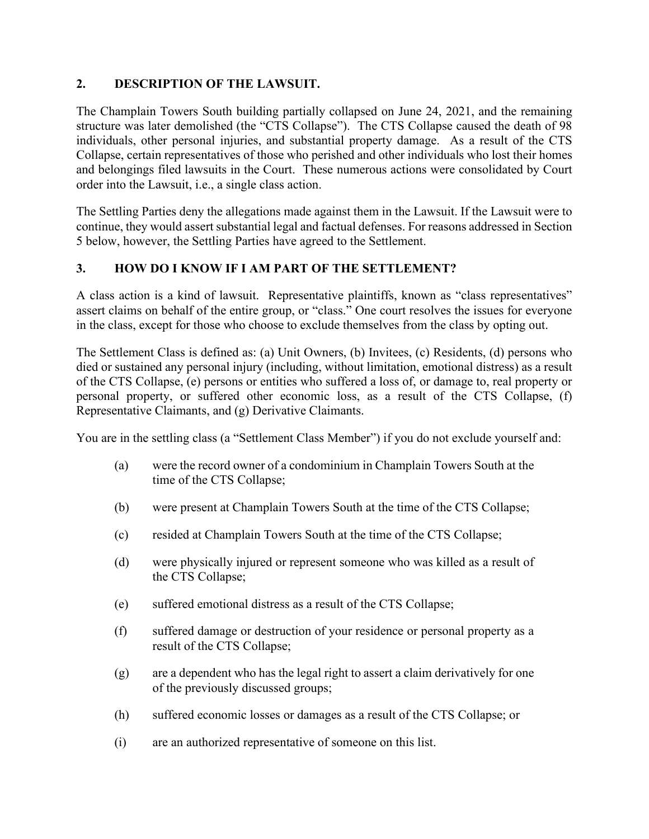### **2. DESCRIPTION OF THE LAWSUIT.**

The Champlain Towers South building partially collapsed on June 24, 2021, and the remaining structure was later demolished (the "CTS Collapse"). The CTS Collapse caused the death of 98 individuals, other personal injuries, and substantial property damage. As a result of the CTS Collapse, certain representatives of those who perished and other individuals who lost their homes and belongings filed lawsuits in the Court. These numerous actions were consolidated by Court order into the Lawsuit, i.e., a single class action.

The Settling Parties deny the allegations made against them in the Lawsuit. If the Lawsuit were to continue, they would assert substantial legal and factual defenses. For reasons addressed in Section 5 below, however, the Settling Parties have agreed to the Settlement.

## **3. HOW DO I KNOW IF I AM PART OF THE SETTLEMENT?**

A class action is a kind of lawsuit. Representative plaintiffs, known as "class representatives" assert claims on behalf of the entire group, or "class." One court resolves the issues for everyone in the class, except for those who choose to exclude themselves from the class by opting out.

The Settlement Class is defined as: (a) Unit Owners, (b) Invitees, (c) Residents, (d) persons who died or sustained any personal injury (including, without limitation, emotional distress) as a result of the CTS Collapse, (e) persons or entities who suffered a loss of, or damage to, real property or personal property, or suffered other economic loss, as a result of the CTS Collapse, (f) Representative Claimants, and (g) Derivative Claimants.

You are in the settling class (a "Settlement Class Member") if you do not exclude yourself and:

- (a) were the record owner of a condominium in Champlain Towers South at the time of the CTS Collapse;
- (b) were present at Champlain Towers South at the time of the CTS Collapse;
- (c) resided at Champlain Towers South at the time of the CTS Collapse;
- (d) were physically injured or represent someone who was killed as a result of the CTS Collapse;
- (e) suffered emotional distress as a result of the CTS Collapse;
- (f) suffered damage or destruction of your residence or personal property as a result of the CTS Collapse;
- (g) are a dependent who has the legal right to assert a claim derivatively for one of the previously discussed groups;
- (h) suffered economic losses or damages as a result of the CTS Collapse; or
- (i) are an authorized representative of someone on this list.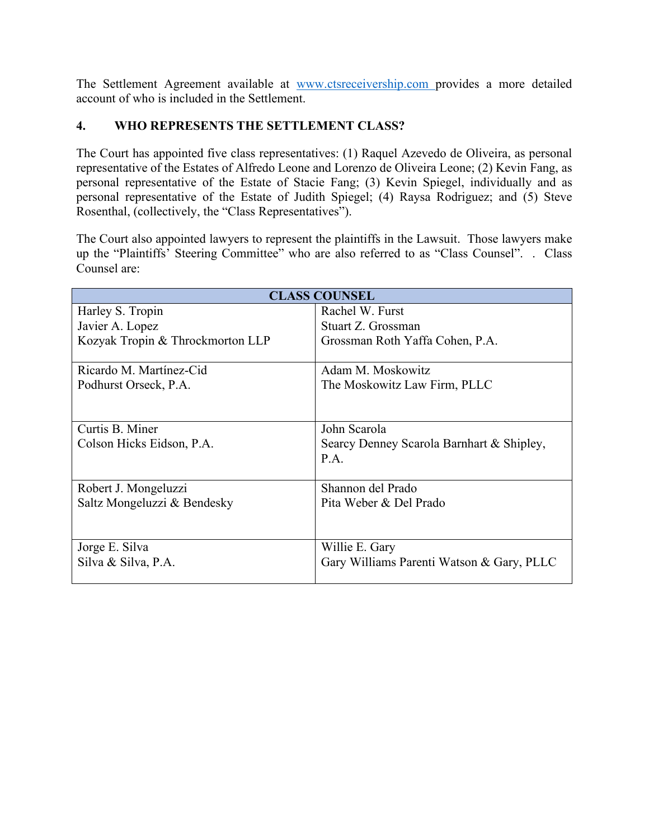The Settlement Agreement available at [www.ctsreceivership.com](http://www.ctsreceivership.com/) provides a more detailed account of who is included in the Settlement.

### **4. WHO REPRESENTS THE SETTLEMENT CLASS?**

The Court has appointed five class representatives: (1) Raquel Azevedo de Oliveira, as personal representative of the Estates of Alfredo Leone and Lorenzo de Oliveira Leone; (2) Kevin Fang, as personal representative of the Estate of Stacie Fang; (3) Kevin Spiegel, individually and as personal representative of the Estate of Judith Spiegel; (4) Raysa Rodriguez; and (5) Steve Rosenthal, (collectively, the "Class Representatives").

The Court also appointed lawyers to represent the plaintiffs in the Lawsuit. Those lawyers make up the "Plaintiffs' Steering Committee" who are also referred to as "Class Counsel". . Class Counsel are:

| <b>CLASS COUNSEL</b>             |                                           |  |
|----------------------------------|-------------------------------------------|--|
| Harley S. Tropin                 | Rachel W. Furst                           |  |
| Javier A. Lopez                  | Stuart Z. Grossman                        |  |
| Kozyak Tropin & Throckmorton LLP | Grossman Roth Yaffa Cohen, P.A.           |  |
|                                  |                                           |  |
| Ricardo M. Martínez-Cid          | Adam M. Moskowitz                         |  |
| Podhurst Orseck, P.A.            | The Moskowitz Law Firm, PLLC              |  |
|                                  |                                           |  |
|                                  |                                           |  |
| Curtis B. Miner                  | John Scarola                              |  |
| Colson Hicks Eidson, P.A.        | Searcy Denney Scarola Barnhart & Shipley, |  |
|                                  | P.A.                                      |  |
|                                  |                                           |  |
| Robert J. Mongeluzzi             | Shannon del Prado                         |  |
| Saltz Mongeluzzi & Bendesky      | Pita Weber & Del Prado                    |  |
|                                  |                                           |  |
|                                  |                                           |  |
| Jorge E. Silva                   | Willie E. Gary                            |  |
| Silva & Silva, P.A.              | Gary Williams Parenti Watson & Gary, PLLC |  |
|                                  |                                           |  |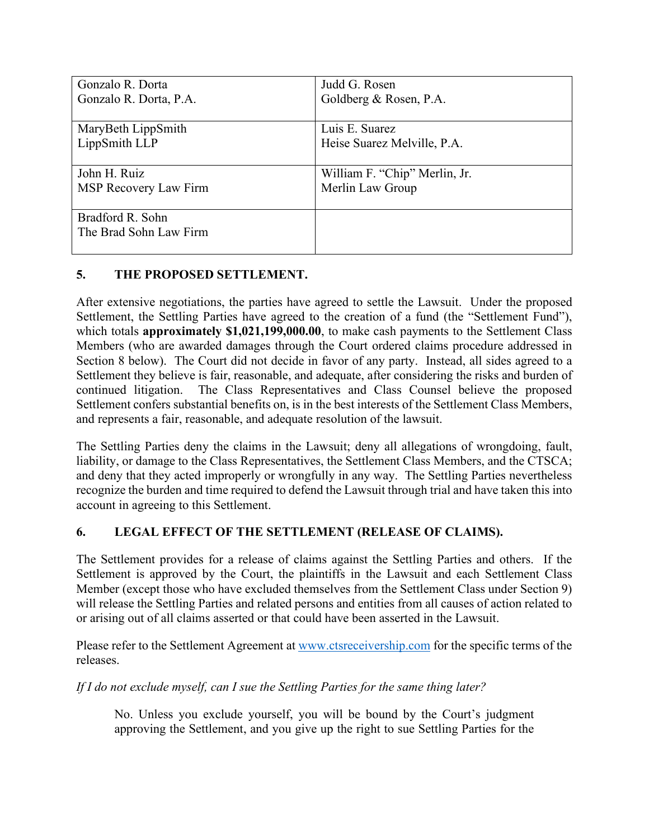| Gonzalo R. Dorta       | Judd G. Rosen                 |
|------------------------|-------------------------------|
| Gonzalo R. Dorta, P.A. | Goldberg & Rosen, P.A.        |
|                        |                               |
| MaryBeth LippSmith     | Luis E. Suarez                |
| LippSmith LLP          | Heise Suarez Melville, P.A.   |
|                        |                               |
| John H. Ruiz           | William F. "Chip" Merlin, Jr. |
| MSP Recovery Law Firm  | Merlin Law Group              |
|                        |                               |
| Bradford R. Sohn       |                               |
| The Brad Sohn Law Firm |                               |
|                        |                               |

### **5. THE PROPOSED SETTLEMENT.**

After extensive negotiations, the parties have agreed to settle the Lawsuit. Under the proposed Settlement, the Settling Parties have agreed to the creation of a fund (the "Settlement Fund"), which totals **approximately \$1,021,199,000.00**, to make cash payments to the Settlement Class Members (who are awarded damages through the Court ordered claims procedure addressed in Section 8 below). The Court did not decide in favor of any party. Instead, all sides agreed to a Settlement they believe is fair, reasonable, and adequate, after considering the risks and burden of continued litigation. The Class Representatives and Class Counsel believe the proposed Settlement confers substantial benefits on, is in the best interests of the Settlement Class Members, and represents a fair, reasonable, and adequate resolution of the lawsuit.

The Settling Parties deny the claims in the Lawsuit; deny all allegations of wrongdoing, fault, liability, or damage to the Class Representatives, the Settlement Class Members, and the CTSCA; and deny that they acted improperly or wrongfully in any way. The Settling Parties nevertheless recognize the burden and time required to defend the Lawsuit through trial and have taken this into account in agreeing to this Settlement.

## **6. LEGAL EFFECT OF THE SETTLEMENT (RELEASE OF CLAIMS).**

The Settlement provides for a release of claims against the Settling Parties and others. If the Settlement is approved by the Court, the plaintiffs in the Lawsuit and each Settlement Class Member (except those who have excluded themselves from the Settlement Class under Section 9) will release the Settling Parties and related persons and entities from all causes of action related to or arising out of all claims asserted or that could have been asserted in the Lawsuit.

Please refer to the Settlement Agreement at [www.ctsreceivership.com](http://www.ctsreceivership.com/) for the specific terms of the releases.

*If I do not exclude myself, can I sue the Settling Parties for the same thing later?* 

No. Unless you exclude yourself, you will be bound by the Court's judgment approving the Settlement, and you give up the right to sue Settling Parties for the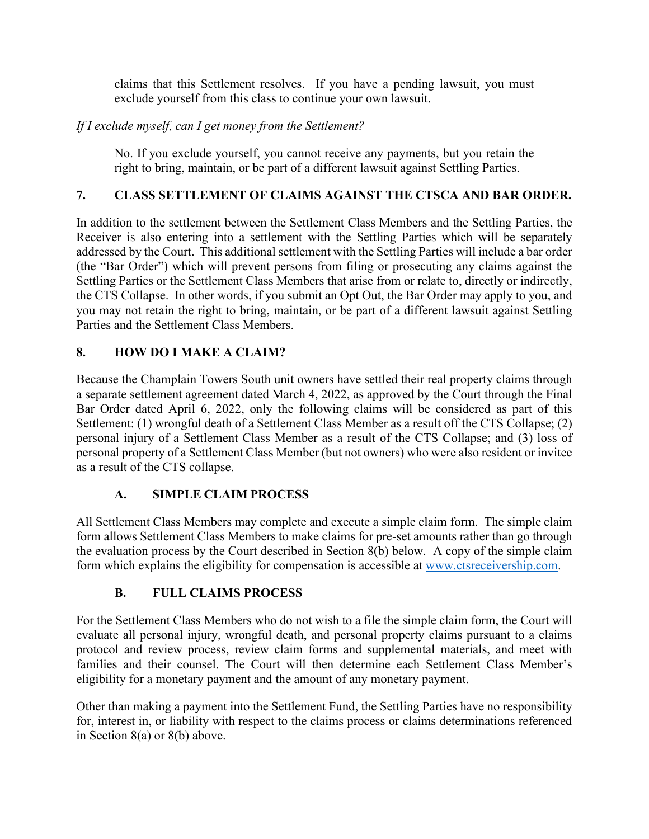claims that this Settlement resolves. If you have a pending lawsuit, you must exclude yourself from this class to continue your own lawsuit.

### *If I exclude myself, can I get money from the Settlement?*

No. If you exclude yourself, you cannot receive any payments, but you retain the right to bring, maintain, or be part of a different lawsuit against Settling Parties.

### **7. CLASS SETTLEMENT OF CLAIMS AGAINST THE CTSCA AND BAR ORDER.**

In addition to the settlement between the Settlement Class Members and the Settling Parties, the Receiver is also entering into a settlement with the Settling Parties which will be separately addressed by the Court. This additional settlement with the Settling Parties will include a bar order (the "Bar Order") which will prevent persons from filing or prosecuting any claims against the Settling Parties or the Settlement Class Members that arise from or relate to, directly or indirectly, the CTS Collapse. In other words, if you submit an Opt Out, the Bar Order may apply to you, and you may not retain the right to bring, maintain, or be part of a different lawsuit against Settling Parties and the Settlement Class Members.

### **8. HOW DO I MAKE A CLAIM?**

Because the Champlain Towers South unit owners have settled their real property claims through a separate settlement agreement dated March 4, 2022, as approved by the Court through the Final Bar Order dated April 6, 2022, only the following claims will be considered as part of this Settlement: (1) wrongful death of a Settlement Class Member as a result off the CTS Collapse; (2) personal injury of a Settlement Class Member as a result of the CTS Collapse; and (3) loss of personal property of a Settlement Class Member (but not owners) who were also resident or invitee as a result of the CTS collapse.

### **A. SIMPLE CLAIM PROCESS**

All Settlement Class Members may complete and execute a simple claim form. The simple claim form allows Settlement Class Members to make claims for pre-set amounts rather than go through the evaluation process by the Court described in Section 8(b) below. A copy of the simple claim form which explains the eligibility for compensation is accessible at [www.ctsreceivership.com.](http://www.ctsreceivership.com/)

### **B. FULL CLAIMS PROCESS**

For the Settlement Class Members who do not wish to a file the simple claim form, the Court will evaluate all personal injury, wrongful death, and personal property claims pursuant to a claims protocol and review process, review claim forms and supplemental materials, and meet with families and their counsel. The Court will then determine each Settlement Class Member's eligibility for a monetary payment and the amount of any monetary payment.

Other than making a payment into the Settlement Fund, the Settling Parties have no responsibility for, interest in, or liability with respect to the claims process or claims determinations referenced in Section 8(a) or 8(b) above.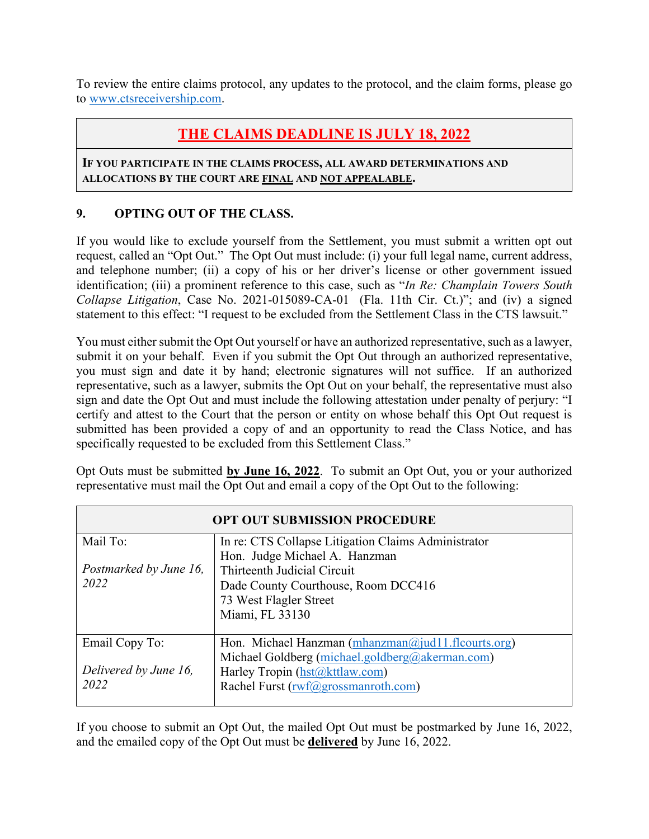To review the entire claims protocol, any updates to the protocol, and the claim forms, please go to [www.ctsreceivership.com.](http://www.ctsreceivership.com/)

# **THE CLAIMS DEADLINE IS JULY 18, 2022**

#### **IF YOU PARTICIPATE IN THE CLAIMS PROCESS, ALL AWARD DETERMINATIONS AND ALLOCATIONS BY THE COURT ARE FINAL AND NOT APPEALABLE.**

### **9. OPTING OUT OF THE CLASS.**

If you would like to exclude yourself from the Settlement, you must submit a written opt out request, called an "Opt Out." The Opt Out must include: (i) your full legal name, current address, and telephone number; (ii) a copy of his or her driver's license or other government issued identification; (iii) a prominent reference to this case, such as "*In Re: Champlain Towers South Collapse Litigation*, Case No. 2021-015089-CA-01 (Fla. 11th Cir. Ct.)"; and (iv) a signed statement to this effect: "I request to be excluded from the Settlement Class in the CTS lawsuit."

You must either submit the Opt Out yourself or have an authorized representative, such as a lawyer, submit it on your behalf. Even if you submit the Opt Out through an authorized representative, you must sign and date it by hand; electronic signatures will not suffice. If an authorized representative, such as a lawyer, submits the Opt Out on your behalf, the representative must also sign and date the Opt Out and must include the following attestation under penalty of perjury: "I certify and attest to the Court that the person or entity on whose behalf this Opt Out request is submitted has been provided a copy of and an opportunity to read the Class Notice, and has specifically requested to be excluded from this Settlement Class."

Opt Outs must be submitted **by June 16, 2022**. To submit an Opt Out, you or your authorized representative must mail the Opt Out and email a copy of the Opt Out to the following:

| <b>OPT OUT SUBMISSION PROCEDURE</b> |                                                     |  |
|-------------------------------------|-----------------------------------------------------|--|
| Mail To:                            | In re: CTS Collapse Litigation Claims Administrator |  |
|                                     | Hon. Judge Michael A. Hanzman                       |  |
| Postmarked by June 16,              | Thirteenth Judicial Circuit                         |  |
| 2022                                | Dade County Courthouse, Room DCC416                 |  |
|                                     | 73 West Flagler Street                              |  |
|                                     | Miami, FL 33130                                     |  |
| Email Copy To:                      | Hon. Michael Hanzman (mhanzman@jud11.flcourts.org)  |  |
|                                     | Michael Goldberg (michael.goldberg@akerman.com)     |  |
| Delivered by June 16,               | Harley Tropin (hst@kttlaw.com)                      |  |
| 2022                                | Rachel Furst (rwf@grossmanroth.com)                 |  |
|                                     |                                                     |  |

If you choose to submit an Opt Out, the mailed Opt Out must be postmarked by June 16, 2022, and the emailed copy of the Opt Out must be **delivered** by June 16, 2022.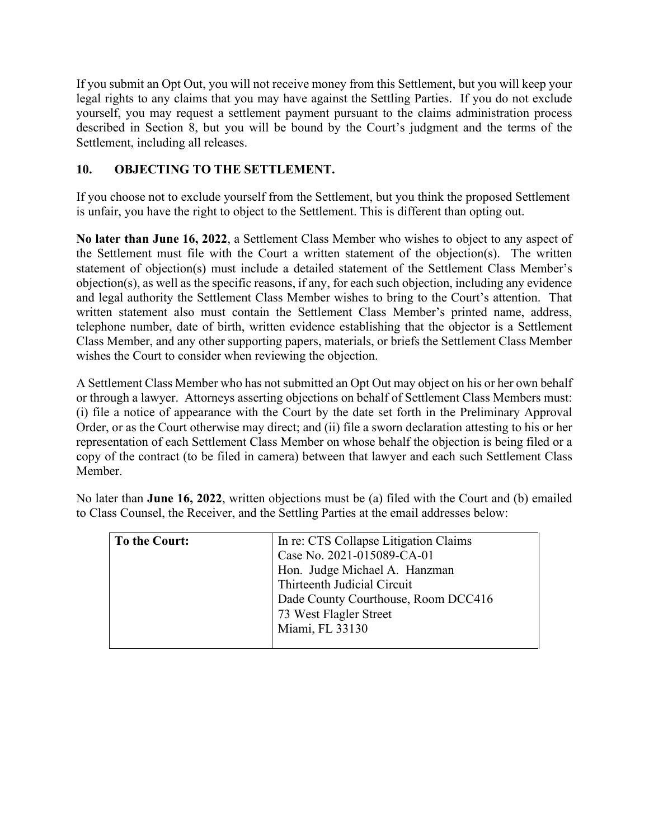If you submit an Opt Out, you will not receive money from this Settlement, but you will keep your legal rights to any claims that you may have against the Settling Parties. If you do not exclude yourself, you may request a settlement payment pursuant to the claims administration process described in Section 8, but you will be bound by the Court's judgment and the terms of the Settlement, including all releases.

## **10. OBJECTING TO THE SETTLEMENT.**

If you choose not to exclude yourself from the Settlement, but you think the proposed Settlement is unfair, you have the right to object to the Settlement. This is different than opting out.

**No later than June 16, 2022**, a Settlement Class Member who wishes to object to any aspect of the Settlement must file with the Court a written statement of the objection(s). The written statement of objection(s) must include a detailed statement of the Settlement Class Member's objection(s), as well as the specific reasons, if any, for each such objection, including any evidence and legal authority the Settlement Class Member wishes to bring to the Court's attention. That written statement also must contain the Settlement Class Member's printed name, address, telephone number, date of birth, written evidence establishing that the objector is a Settlement Class Member, and any other supporting papers, materials, or briefs the Settlement Class Member wishes the Court to consider when reviewing the objection.

A Settlement Class Member who has not submitted an Opt Out may object on his or her own behalf or through a lawyer. Attorneys asserting objections on behalf of Settlement Class Members must: (i) file a notice of appearance with the Court by the date set forth in the Preliminary Approval Order, or as the Court otherwise may direct; and (ii) file a sworn declaration attesting to his or her representation of each Settlement Class Member on whose behalf the objection is being filed or a copy of the contract (to be filed in camera) between that lawyer and each such Settlement Class Member.

| To the Court: | In re: CTS Collapse Litigation Claims |
|---------------|---------------------------------------|
|               | Case No. 2021-015089-CA-01            |
|               | Hon. Judge Michael A. Hanzman         |
|               | Thirteenth Judicial Circuit           |
|               | Dade County Courthouse, Room DCC416   |
|               | 73 West Flagler Street                |
|               | Miami, FL 33130                       |
|               |                                       |

No later than **June 16, 2022**, written objections must be (a) filed with the Court and (b) emailed to Class Counsel, the Receiver, and the Settling Parties at the email addresses below: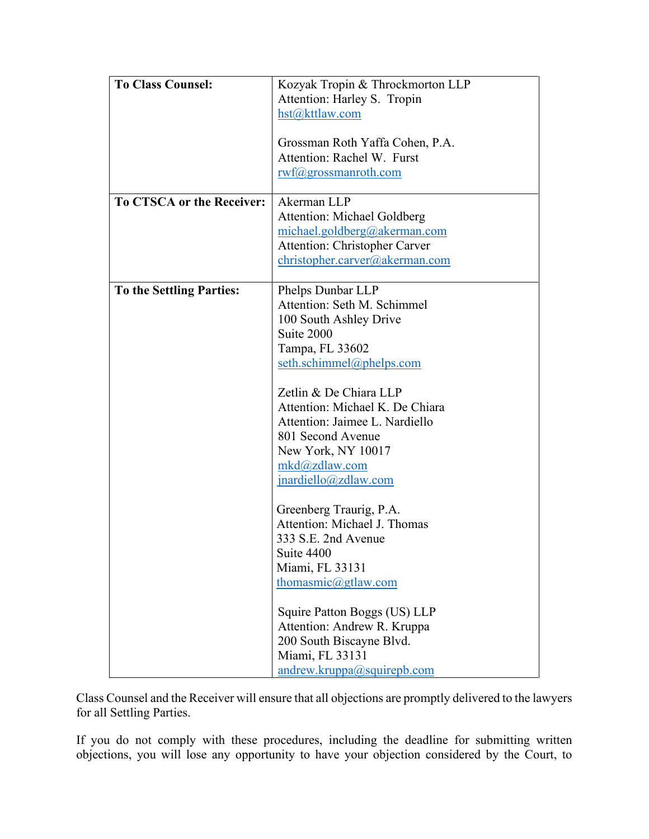| <b>To Class Counsel:</b>         | Kozyak Tropin & Throckmorton LLP     |
|----------------------------------|--------------------------------------|
|                                  | Attention: Harley S. Tropin          |
|                                  | hst@kttlaw.com                       |
|                                  |                                      |
|                                  | Grossman Roth Yaffa Cohen, P.A.      |
|                                  | Attention: Rachel W. Furst           |
|                                  | rwf@grossmanroth.com                 |
|                                  |                                      |
| <b>To CTSCA or the Receiver:</b> | Akerman LLP                          |
|                                  | Attention: Michael Goldberg          |
|                                  | michael.goldberg@akerman.com         |
|                                  | <b>Attention: Christopher Carver</b> |
|                                  | christopher.carver@akerman.com       |
|                                  |                                      |
| <b>To the Settling Parties:</b>  | Phelps Dunbar LLP                    |
|                                  | Attention: Seth M. Schimmel          |
|                                  | 100 South Ashley Drive               |
|                                  | Suite 2000                           |
|                                  | Tampa, FL 33602                      |
|                                  | seth.schimmel@phelps.com             |
|                                  |                                      |
|                                  | Zetlin & De Chiara LLP               |
|                                  | Attention: Michael K. De Chiara      |
|                                  | Attention: Jaimee L. Nardiello       |
|                                  | 801 Second Avenue                    |
|                                  | New York, NY 10017                   |
|                                  | mkd@zdlaw.com                        |
|                                  | $iparticle$ lo@zdlaw.com             |
|                                  |                                      |
|                                  | Greenberg Traurig, P.A.              |
|                                  | Attention: Michael J. Thomas         |
|                                  | 333 S.E. 2nd Avenue                  |
|                                  | Suite 4400                           |
|                                  | Miami, FL 33131                      |
|                                  | thomasmic@gtlaw.com                  |
|                                  |                                      |
|                                  | Squire Patton Boggs (US) LLP         |
|                                  | Attention: Andrew R. Kruppa          |
|                                  | 200 South Biscayne Blvd.             |
|                                  | Miami, FL 33131                      |
|                                  | $and$ rew.kruppa@squirepb.com        |

Class Counsel and the Receiver will ensure that all objections are promptly delivered to the lawyers for all Settling Parties.

If you do not comply with these procedures, including the deadline for submitting written objections, you will lose any opportunity to have your objection considered by the Court, to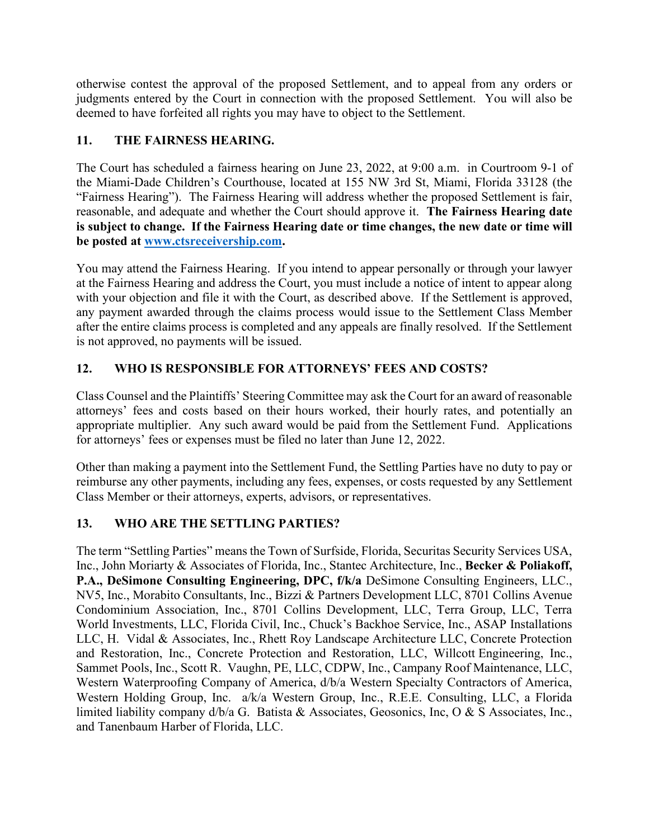otherwise contest the approval of the proposed Settlement, and to appeal from any orders or judgments entered by the Court in connection with the proposed Settlement. You will also be deemed to have forfeited all rights you may have to object to the Settlement.

## **11. THE FAIRNESS HEARING.**

The Court has scheduled a fairness hearing on June 23, 2022, at 9:00 a.m. in Courtroom 9-1 of the Miami-Dade Children's Courthouse, located at 155 NW 3rd St, Miami, Florida 33128 (the "Fairness Hearing"). The Fairness Hearing will address whether the proposed Settlement is fair, reasonable, and adequate and whether the Court should approve it. **The Fairness Hearing date is subject to change. If the Fairness Hearing date or time changes, the new date or time will be posted at [www.ctsreceivership.com.](http://www.ctsreceivership.com/)** 

You may attend the Fairness Hearing. If you intend to appear personally or through your lawyer at the Fairness Hearing and address the Court, you must include a notice of intent to appear along with your objection and file it with the Court, as described above. If the Settlement is approved, any payment awarded through the claims process would issue to the Settlement Class Member after the entire claims process is completed and any appeals are finally resolved. If the Settlement is not approved, no payments will be issued.

## **12. WHO IS RESPONSIBLE FOR ATTORNEYS' FEES AND COSTS?**

Class Counsel and the Plaintiffs' Steering Committee may ask the Court for an award of reasonable attorneys' fees and costs based on their hours worked, their hourly rates, and potentially an appropriate multiplier. Any such award would be paid from the Settlement Fund. Applications for attorneys' fees or expenses must be filed no later than June 12, 2022.

Other than making a payment into the Settlement Fund, the Settling Parties have no duty to pay or reimburse any other payments, including any fees, expenses, or costs requested by any Settlement Class Member or their attorneys, experts, advisors, or representatives.

## **13. WHO ARE THE SETTLING PARTIES?**

The term "Settling Parties" means the Town of Surfside, Florida, Securitas Security Services USA, Inc., John Moriarty & Associates of Florida, Inc., Stantec Architecture, Inc., **Becker & Poliakoff, P.A., DeSimone Consulting Engineering, DPC, f/k/a** DeSimone Consulting Engineers, LLC., NV5, Inc., Morabito Consultants, Inc., Bizzi & Partners Development LLC, 8701 Collins Avenue Condominium Association, Inc., 8701 Collins Development, LLC, Terra Group, LLC, Terra World Investments, LLC, Florida Civil, Inc., Chuck's Backhoe Service, Inc., ASAP Installations LLC, H. Vidal & Associates, Inc., Rhett Roy Landscape Architecture LLC, Concrete Protection and Restoration, Inc., Concrete Protection and Restoration, LLC, Willcott Engineering, Inc., Sammet Pools, Inc., Scott R. Vaughn, PE, LLC, CDPW, Inc., Campany Roof Maintenance, LLC, Western Waterproofing Company of America, d/b/a Western Specialty Contractors of America, Western Holding Group, Inc. a/k/a Western Group, Inc., R.E.E. Consulting, LLC, a Florida limited liability company d/b/a G. Batista & Associates, Geosonics, Inc, O & S Associates, Inc., and Tanenbaum Harber of Florida, LLC.